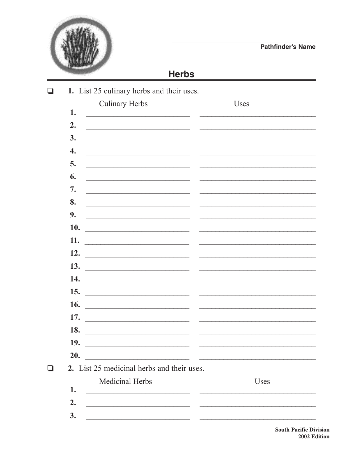

## **Herbs**

|                    | <b>Culinary Herbs</b>                                                                                                 | <b>Uses</b>                                                                                                                                                                                                                          |
|--------------------|-----------------------------------------------------------------------------------------------------------------------|--------------------------------------------------------------------------------------------------------------------------------------------------------------------------------------------------------------------------------------|
| 1.                 |                                                                                                                       |                                                                                                                                                                                                                                      |
| 2.                 | <u> 1989 - Johann Stone, margaret eta idazlear (h. 1982).</u>                                                         |                                                                                                                                                                                                                                      |
| 3.                 | <u> 1989 - Johann Barbara, martin amerikan basal dan berasal dalam basal dalam basal dalam basal dalam basal dala</u> |                                                                                                                                                                                                                                      |
| $\boldsymbol{4}$ . | <u> 1990 - Johann John Stone, mars et al. (</u>                                                                       | <u> 1989 - Johann John Stone, market fan it ferskearre fan it ferskearre fan it ferskearre fan it ferskearre fan i</u>                                                                                                               |
| 5.                 | <u> 1989 - Johann John Stone, markin film yn y brening yn y brening yn y brening yn y brening yn y brening yn y b</u> |                                                                                                                                                                                                                                      |
| 6.                 | <u> 1989 - Johann John Stone, market fan it ferskearre fan it ferskearre fan it ferskearre fan it ferskearre fan </u> | $\begin{array}{c} \begin{array}{c} \hline \end{array} & \begin{array}{c} \hline \end{array} & \begin{array}{c} \hline \end{array} \end{array}$                                                                                       |
| 7.                 | <u> 1989 - Johann John Harry, mars eta bainar eta baina eta baina eta baina eta baina eta baina eta baina eta ba</u>  | <u> 1989 - Johann John Harry Harry Harry Harry Harry Harry Harry Harry Harry Harry Harry Harry Harry Harry Harry H</u>                                                                                                               |
| 8.                 |                                                                                                                       |                                                                                                                                                                                                                                      |
| 9.                 |                                                                                                                       |                                                                                                                                                                                                                                      |
| 10.                |                                                                                                                       |                                                                                                                                                                                                                                      |
| 11.                |                                                                                                                       |                                                                                                                                                                                                                                      |
| 12.                |                                                                                                                       |                                                                                                                                                                                                                                      |
| 13.                | <u> 1989 - Andrea Andrew Maria (b. 1989)</u>                                                                          |                                                                                                                                                                                                                                      |
| 14.                |                                                                                                                       | <u> 1980 - Johann Barn, mars ann an t-Amhraid ann an t-Amhraid ann an t-Amhraid ann an t-Amhraid ann an t-Amhraid ann an t-Amhraid ann an t-Amhraid ann an t-Amhraid ann an t-Amhraid ann an t-Amhraid ann an t-Amhraid ann an t</u> |
| 15.                |                                                                                                                       |                                                                                                                                                                                                                                      |
| 16.                | <u> 2000 - Jan James James James James James James James James James James James James James James James James Ja</u> |                                                                                                                                                                                                                                      |
| 17.                |                                                                                                                       |                                                                                                                                                                                                                                      |
| 18.                | <u> 1980 - Jan Barnett, fransk politiker og den større og den forskeller og det forskeller og det s</u>               |                                                                                                                                                                                                                                      |
| 19.                |                                                                                                                       |                                                                                                                                                                                                                                      |
| 20.                | <u> 2000 - Jan Barnett, fransk politik (d. 1982)</u>                                                                  |                                                                                                                                                                                                                                      |
|                    | 2. List 25 medicinal herbs and their uses.                                                                            |                                                                                                                                                                                                                                      |
|                    | Medicinal Herbs                                                                                                       | <b>Uses</b>                                                                                                                                                                                                                          |
| 1.                 | <u> 1980 - Johann Storm, martin amerikan ba</u>                                                                       |                                                                                                                                                                                                                                      |
| 2.                 |                                                                                                                       |                                                                                                                                                                                                                                      |

**South Pacific Division** 2002 Edition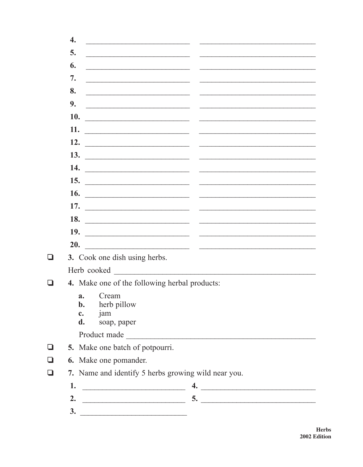|     | $\overline{4}$ .                                    |                                                                                                                                                                                                                                                                                                                                                                                                                                                                                                                                                                                                    |  |
|-----|-----------------------------------------------------|----------------------------------------------------------------------------------------------------------------------------------------------------------------------------------------------------------------------------------------------------------------------------------------------------------------------------------------------------------------------------------------------------------------------------------------------------------------------------------------------------------------------------------------------------------------------------------------------------|--|
|     | 5.                                                  |                                                                                                                                                                                                                                                                                                                                                                                                                                                                                                                                                                                                    |  |
|     | 6.                                                  | <u> 1989 - Johann Stein, mars an deutscher Stein und der Stein und der Stein und der Stein und der Stein und der</u><br>$\frac{1}{2} \left( \frac{1}{2} \right) \left( \frac{1}{2} \right) \left( \frac{1}{2} \right) \left( \frac{1}{2} \right) \left( \frac{1}{2} \right) \left( \frac{1}{2} \right) \left( \frac{1}{2} \right) \left( \frac{1}{2} \right) \left( \frac{1}{2} \right) \left( \frac{1}{2} \right) \left( \frac{1}{2} \right) \left( \frac{1}{2} \right) \left( \frac{1}{2} \right) \left( \frac{1}{2} \right) \left( \frac{1}{2} \right) \left( \frac{1}{2} \right) \left( \frac$ |  |
|     | 7.                                                  | <u> 1989 - Johann John Stoff, deutscher Stoffen und der Stoffen und der Stoffen und der Stoffen und der Stoffen u</u>                                                                                                                                                                                                                                                                                                                                                                                                                                                                              |  |
|     | 8.                                                  |                                                                                                                                                                                                                                                                                                                                                                                                                                                                                                                                                                                                    |  |
|     | 9.                                                  | <u> 2008 - Johann Stone, amerikansk politiker (d. 1982)</u>                                                                                                                                                                                                                                                                                                                                                                                                                                                                                                                                        |  |
|     | 10.                                                 |                                                                                                                                                                                                                                                                                                                                                                                                                                                                                                                                                                                                    |  |
|     | 11.                                                 | <u> Alexandro de la contrada de la contrada de la contrada de la contrada de la contrada de la contrada de la co</u>                                                                                                                                                                                                                                                                                                                                                                                                                                                                               |  |
|     | 12.                                                 | <u> 1980 - Andrea Andrew Maria (h. 1980).</u>                                                                                                                                                                                                                                                                                                                                                                                                                                                                                                                                                      |  |
|     |                                                     |                                                                                                                                                                                                                                                                                                                                                                                                                                                                                                                                                                                                    |  |
|     | 14.                                                 |                                                                                                                                                                                                                                                                                                                                                                                                                                                                                                                                                                                                    |  |
|     |                                                     | 15. $\qquad$                                                                                                                                                                                                                                                                                                                                                                                                                                                                                                                                                                                       |  |
|     | <b>16.</b>                                          |                                                                                                                                                                                                                                                                                                                                                                                                                                                                                                                                                                                                    |  |
|     | 17.                                                 | <u> 2000 - 2000 - 2000 - 2000 - 2000 - 2000 - 2000 - 2000 - 2000 - 2000 - 2000 - 2000 - 2000 - 2000 - 2000 - 200</u>                                                                                                                                                                                                                                                                                                                                                                                                                                                                               |  |
|     |                                                     | 18. $\overline{\phantom{a}}$                                                                                                                                                                                                                                                                                                                                                                                                                                                                                                                                                                       |  |
|     |                                                     | 19. $\qquad \qquad$                                                                                                                                                                                                                                                                                                                                                                                                                                                                                                                                                                                |  |
|     | 20.                                                 | <u> 1989 - Johann Harry Harry Harry Harry Harry Harry Harry Harry Harry Harry Harry Harry Harry Harry Harry Harry Harry Harry Harry Harry Harry Harry Harry Harry Harry Harry Harry Harry Harry Harry Harry Harry Harry Harry Ha</u>                                                                                                                                                                                                                                                                                                                                                               |  |
|     |                                                     | 3. Cook one dish using herbs.                                                                                                                                                                                                                                                                                                                                                                                                                                                                                                                                                                      |  |
|     |                                                     | Herb cooked and the state of the state of the state of the state of the state of the state of the state of the state of the state of the state of the state of the state of the state of the state of the state of the state o                                                                                                                                                                                                                                                                                                                                                                     |  |
| l 1 |                                                     | 4. Make one of the following herbal products:                                                                                                                                                                                                                                                                                                                                                                                                                                                                                                                                                      |  |
|     |                                                     | Cream<br>a.<br>herb pillow<br>b.                                                                                                                                                                                                                                                                                                                                                                                                                                                                                                                                                                   |  |
|     |                                                     | jam<br>c.<br>d.<br>soap, paper                                                                                                                                                                                                                                                                                                                                                                                                                                                                                                                                                                     |  |
|     |                                                     | Product made                                                                                                                                                                                                                                                                                                                                                                                                                                                                                                                                                                                       |  |
|     |                                                     | 5. Make one batch of potpourri.                                                                                                                                                                                                                                                                                                                                                                                                                                                                                                                                                                    |  |
|     |                                                     | 6. Make one pomander.                                                                                                                                                                                                                                                                                                                                                                                                                                                                                                                                                                              |  |
| ❏   | 7. Name and identify 5 herbs growing wild near you. |                                                                                                                                                                                                                                                                                                                                                                                                                                                                                                                                                                                                    |  |
|     | 1.                                                  | $\begin{array}{cccccccccc} \multicolumn{3}{c}{{\color{blue}\boldsymbol{w}}}\hspace{1em} & \multicolumn{3}{c}{{\color{blue}\boldsymbol{w}}}\hspace{1em} & \multicolumn{3}{c}{{\color{blue}\boldsymbol{w}}}\hspace{1em} & \multicolumn{3}{c}{{\color{blue}\boldsymbol{w}}}\hspace{1em} & \multicolumn{3}{c}{{\color{blue}\boldsymbol{w}}}\hspace{1em} & \multicolumn{3}{c}{{\color{blue}\boldsymbol{w}}}\hspace{1em} & \multicolumn{3}{c}{{\color{blue}\boldsymbol{w}}}\hspace{1em} & \multicolumn{3}{c}{{\color{blue}\$                                                                             |  |
|     | 2.                                                  |                                                                                                                                                                                                                                                                                                                                                                                                                                                                                                                                                                                                    |  |
|     | 3.                                                  |                                                                                                                                                                                                                                                                                                                                                                                                                                                                                                                                                                                                    |  |